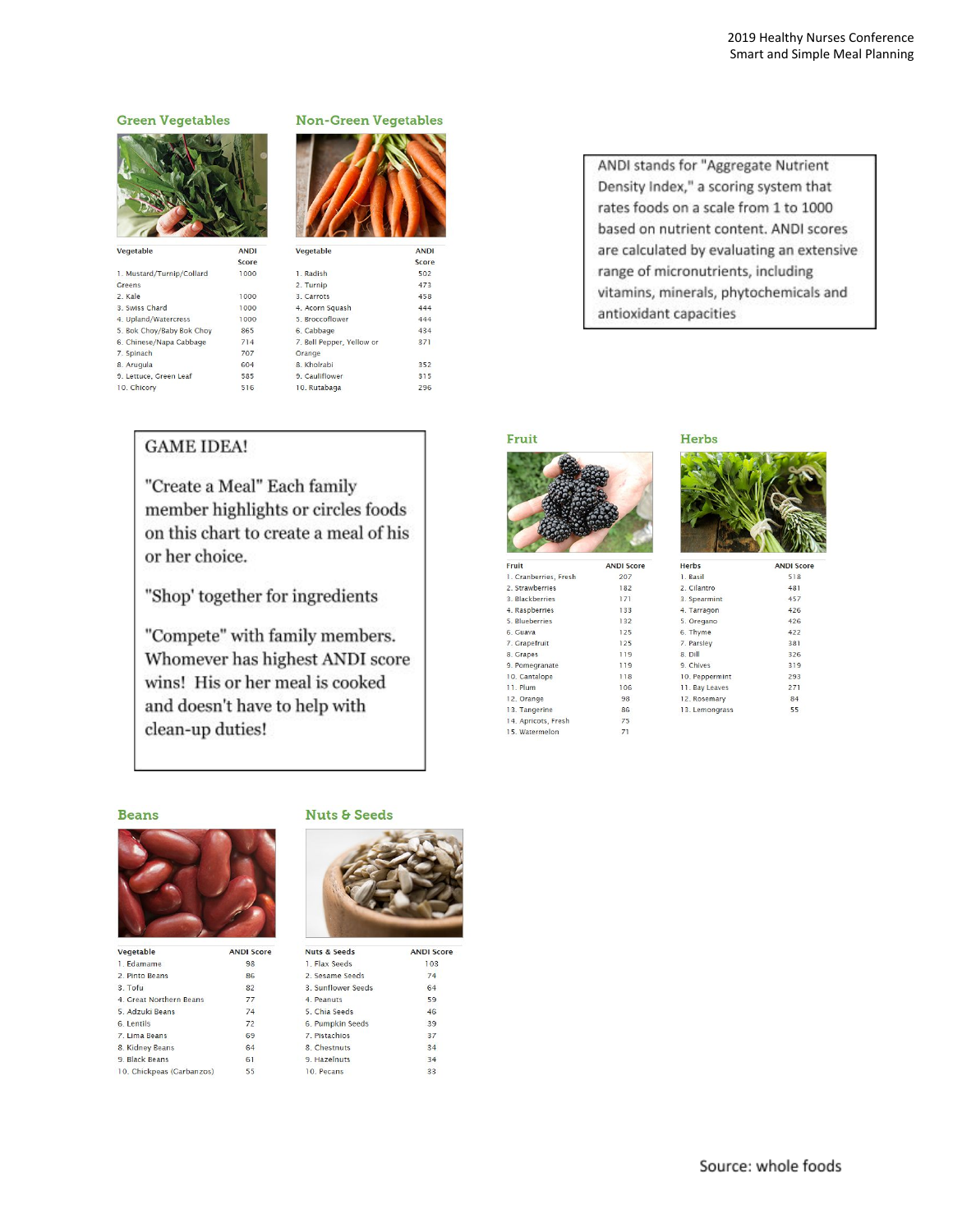#### New-Croop Vegetables **Green Vegetables** ANDI Vegetable Score 1. Mustard/Turnip/Collard 1000 **Greens** 2. Kale 1000 3. Swiss Chard 1000 4. Upland/Watercress 1000 5. Bok Choy/Baby Bok Choy 865 6. Chinese/Napa Cabbage  $714$ 7. Spinach 707 8. Arugula 604

585

516

| MOIL-QICCII A             | clables      |
|---------------------------|--------------|
| Vegetable                 | <b>ANDI</b>  |
| 1. Radish                 | Score<br>502 |
| 2. Turnip                 | 473          |
| 3. Carrots                | 458          |
| 4. Acorn Squash           | 444          |
| 5. Broccoflower           | 444          |
| 6. Cabbage                | 434          |
| 7. Bell Pepper, Yellow or | 371          |
| Orange                    |              |
| 8 Kholrabi                | 352          |
| 9 Cauliflower             | 315          |

296

## **GAME IDEA!**

9. Lettuce, Green Leaf

10. Chicory

"Create a Meal" Each family member highlights or circles foods on this chart to create a meal of his or her choice.

10. Rutabaga

"Shop' together for ingredients

"Compete" with family members. Whomever has highest ANDI score wins! His or her meal is cooked and doesn't have to help with clean-up duties!

### ANDI stands for "Aggregate Nutrient Density Index," a scoring system that rates foods on a scale from 1 to 1000 based on nutrient content. ANDI scores are calculated by evaluating an extensive range of micronutrients, including vitamins, minerals, phytochemicals and antioxidant capacities

### Fruit



| Fruit                 | <b>ANDI So</b> |
|-----------------------|----------------|
| 1. Cranberries, Fresh | 207            |
| 2. Strawberries       | 182            |
| 3. Blackberries       | 171            |
| 4. Raspberries        | 133            |
| 5. Blueberries        | 132            |
| 6. Guava              | 125            |
| 7. Grapefruit         | 125            |
| 8. Grapes             | 119            |
| 9. Pomegranate        | 119            |
| 10. Cantalope         | 118            |
| 11. Plum              | 106            |
| 12. Orange            | 98             |
| 13. Tangerine         | 86             |
| 14. Apricots, Fresh   | 75             |
| 15. Watermelon        | 71             |



| Herbs          | <b>ANDI Scor</b> |
|----------------|------------------|
| 1. Basil       | 518              |
| 2 Cilantro     | 481              |
| 3. Spearmint   | 457              |
| 4. Tarragon    | 426              |
| 5. Oregano     | 426              |
| 6. Thyme       | 422              |
| 7. Parsley     | 381              |
| 8. Dill        | 326              |
| 9. Chives      | 319              |
| 10. Peppermint | 293              |
| 11. Bay Leaves | 271              |
| 12. Rosemary   | 84               |
| 13. Lemongrass | 55               |
|                |                  |

#### **Beans**



| Vegetable                 | <b>ANDI Score</b> |
|---------------------------|-------------------|
| 1 Fdamame                 | 98                |
| 2 Pinto Reans             | 86                |
| $3$ Tofu                  | 82                |
| 4 Great Northern Reans    | 77                |
| 5 Adzuki Beans            | 74                |
| 6. Lentils                | 72                |
| 7 Lima Beans              | 69                |
| 8. Kidney Beans           | 64                |
| 9. Black Beans            | 61                |
| 10. Chickpeas (Garbanzos) | 55                |
|                           |                   |

#### **Nuts & Seeds**



| Nuts & Seeds      | <b>ANDI Scor</b> |
|-------------------|------------------|
| 1 Flax Seeds      | 103              |
| 2 Sesame Seeds    | 74               |
| 3 Sunflower Seeds | 64               |
| 4. Peanuts        | 59               |
| 5 Chia Seeds      | 46               |
| 6. Pumpkin Seeds  | 39               |
| 7 Pistachios      | 37               |
| 8 Chestnuts       | 34               |
| 9. Hazelnuts      | 34               |
| 10 Pecans         | 33               |
|                   |                  |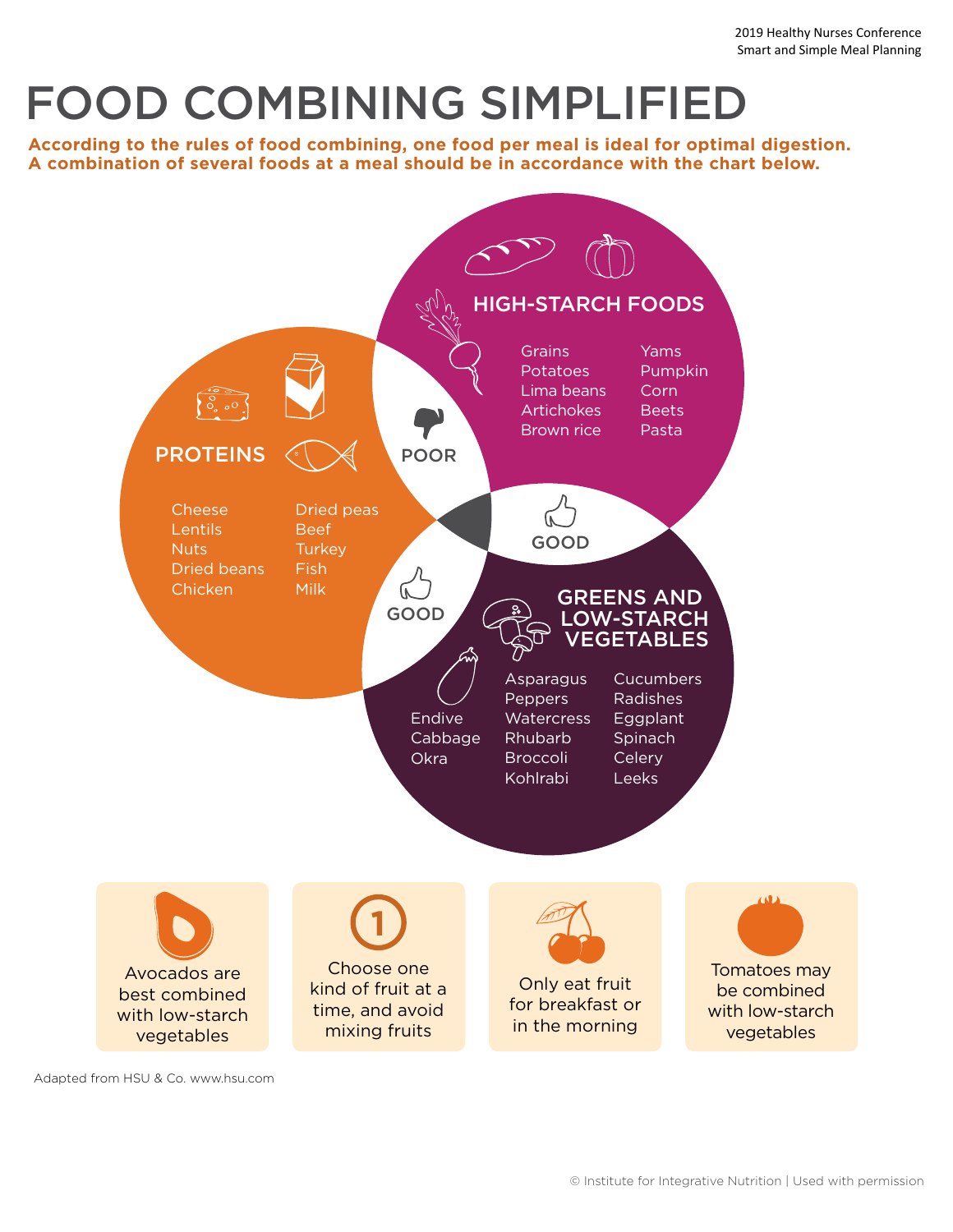# FOOD COMBINING SIMPLIFIED

**According to the rules of food combining, one food per meal is ideal for optimal digestion. A combination of several foods at a meal should be in accordance with the chart below.**



Adapted from HSU & Co. www.hsu.com